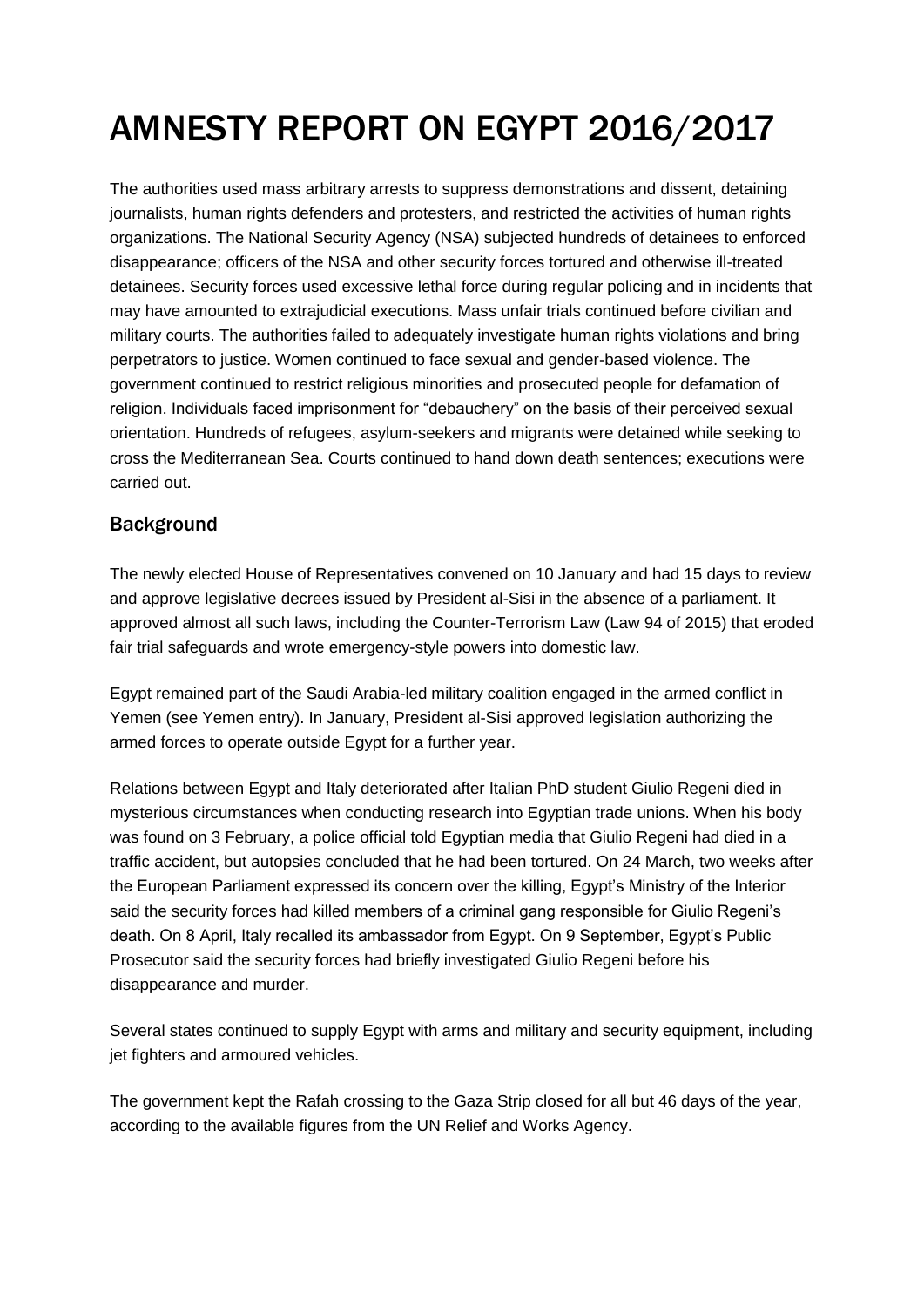# AMNESTY REPORT ON EGYPT 2016/2017

The authorities used mass arbitrary arrests to suppress demonstrations and dissent, detaining journalists, human rights defenders and protesters, and restricted the activities of human rights organizations. The National Security Agency (NSA) subjected hundreds of detainees to enforced disappearance; officers of the NSA and other security forces tortured and otherwise ill-treated detainees. Security forces used excessive lethal force during regular policing and in incidents that may have amounted to extrajudicial executions. Mass unfair trials continued before civilian and military courts. The authorities failed to adequately investigate human rights violations and bring perpetrators to justice. Women continued to face sexual and gender-based violence. The government continued to restrict religious minorities and prosecuted people for defamation of religion. Individuals faced imprisonment for "debauchery" on the basis of their perceived sexual orientation. Hundreds of refugees, asylum-seekers and migrants were detained while seeking to cross the Mediterranean Sea. Courts continued to hand down death sentences; executions were carried out.

#### Background

The newly elected House of Representatives convened on 10 January and had 15 days to review and approve legislative decrees issued by President al-Sisi in the absence of a parliament. It approved almost all such laws, including the Counter-Terrorism Law (Law 94 of 2015) that eroded fair trial safeguards and wrote emergency-style powers into domestic law.

Egypt remained part of the Saudi Arabia-led military coalition engaged in the armed conflict in Yemen (see Yemen entry). In January, President al-Sisi approved legislation authorizing the armed forces to operate outside Egypt for a further year.

Relations between Egypt and Italy deteriorated after Italian PhD student Giulio Regeni died in mysterious circumstances when conducting research into Egyptian trade unions. When his body was found on 3 February, a police official told Egyptian media that Giulio Regeni had died in a traffic accident, but autopsies concluded that he had been tortured. On 24 March, two weeks after the European Parliament expressed its concern over the killing, Egypt's Ministry of the Interior said the security forces had killed members of a criminal gang responsible for Giulio Regeni's death. On 8 April, Italy recalled its ambassador from Egypt. On 9 September, Egypt's Public Prosecutor said the security forces had briefly investigated Giulio Regeni before his disappearance and murder.

Several states continued to supply Egypt with arms and military and security equipment, including jet fighters and armoured vehicles.

The government kept the Rafah crossing to the Gaza Strip closed for all but 46 days of the year, according to the available figures from the UN Relief and Works Agency.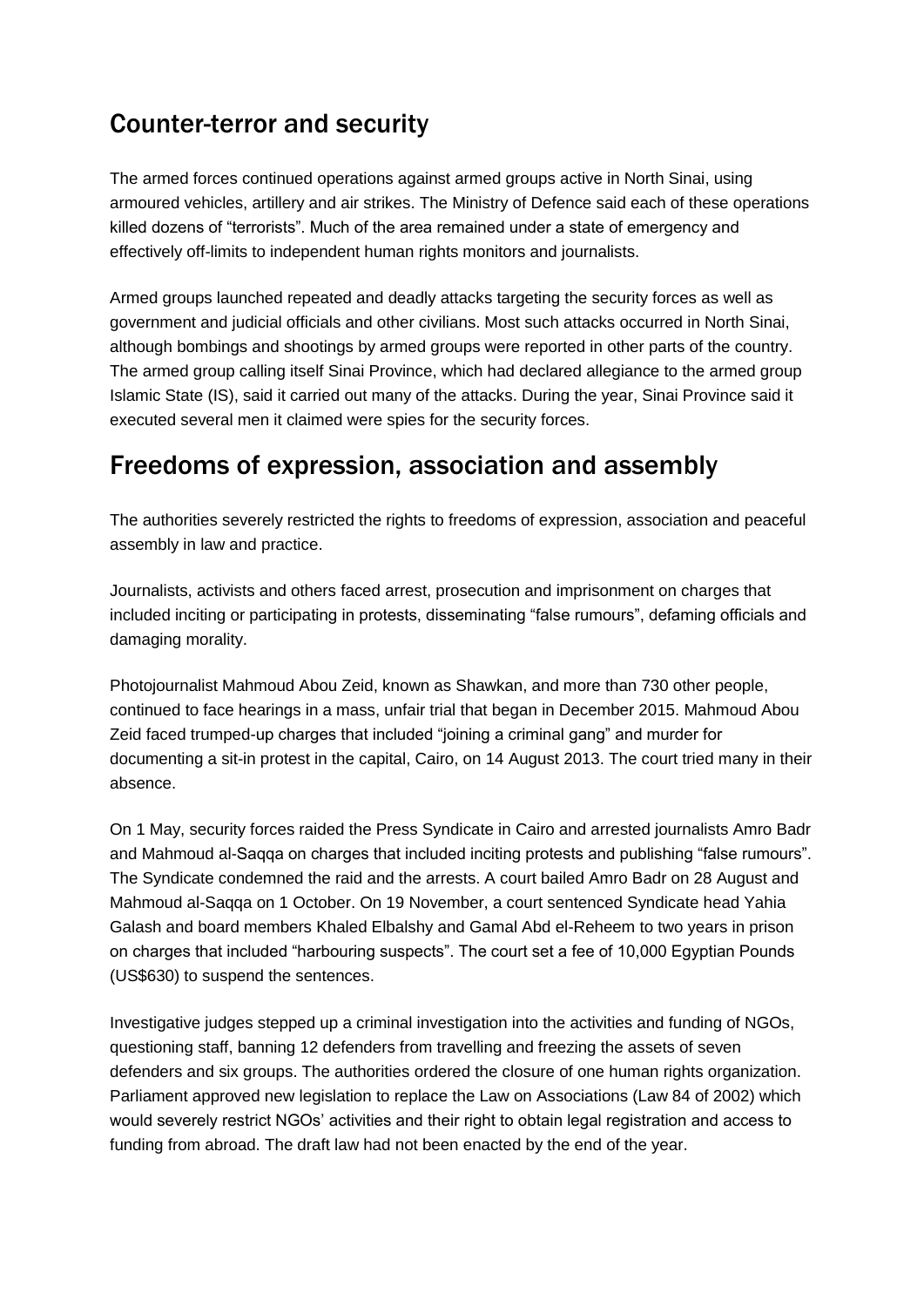### Counter-terror and security

The armed forces continued operations against armed groups active in North Sinai, using armoured vehicles, artillery and air strikes. The Ministry of Defence said each of these operations killed dozens of "terrorists". Much of the area remained under a state of emergency and effectively off-limits to independent human rights monitors and journalists.

Armed groups launched repeated and deadly attacks targeting the security forces as well as government and judicial officials and other civilians. Most such attacks occurred in North Sinai, although bombings and shootings by armed groups were reported in other parts of the country. The armed group calling itself Sinai Province, which had declared allegiance to the armed group Islamic State (IS), said it carried out many of the attacks. During the year, Sinai Province said it executed several men it claimed were spies for the security forces.

#### Freedoms of expression, association and assembly

The authorities severely restricted the rights to freedoms of expression, association and peaceful assembly in law and practice.

Journalists, activists and others faced arrest, prosecution and imprisonment on charges that included inciting or participating in protests, disseminating "false rumours", defaming officials and damaging morality.

Photojournalist Mahmoud Abou Zeid, known as Shawkan, and more than 730 other people, continued to face hearings in a mass, unfair trial that began in December 2015. Mahmoud Abou Zeid faced trumped-up charges that included "joining a criminal gang" and murder for documenting a sit-in protest in the capital, Cairo, on 14 August 2013. The court tried many in their absence.

On 1 May, security forces raided the Press Syndicate in Cairo and arrested journalists Amro Badr and Mahmoud al-Saqqa on charges that included inciting protests and publishing "false rumours". The Syndicate condemned the raid and the arrests. A court bailed Amro Badr on 28 August and Mahmoud al-Saqqa on 1 October. On 19 November, a court sentenced Syndicate head Yahia Galash and board members Khaled Elbalshy and Gamal Abd el-Reheem to two years in prison on charges that included "harbouring suspects". The court set a fee of 10,000 Egyptian Pounds (US\$630) to suspend the sentences.

Investigative judges stepped up a criminal investigation into the activities and funding of NGOs, questioning staff, banning 12 defenders from travelling and freezing the assets of seven defenders and six groups. The authorities ordered the closure of one human rights organization. Parliament approved new legislation to replace the Law on Associations (Law 84 of 2002) which would severely restrict NGOs' activities and their right to obtain legal registration and access to funding from abroad. The draft law had not been enacted by the end of the year.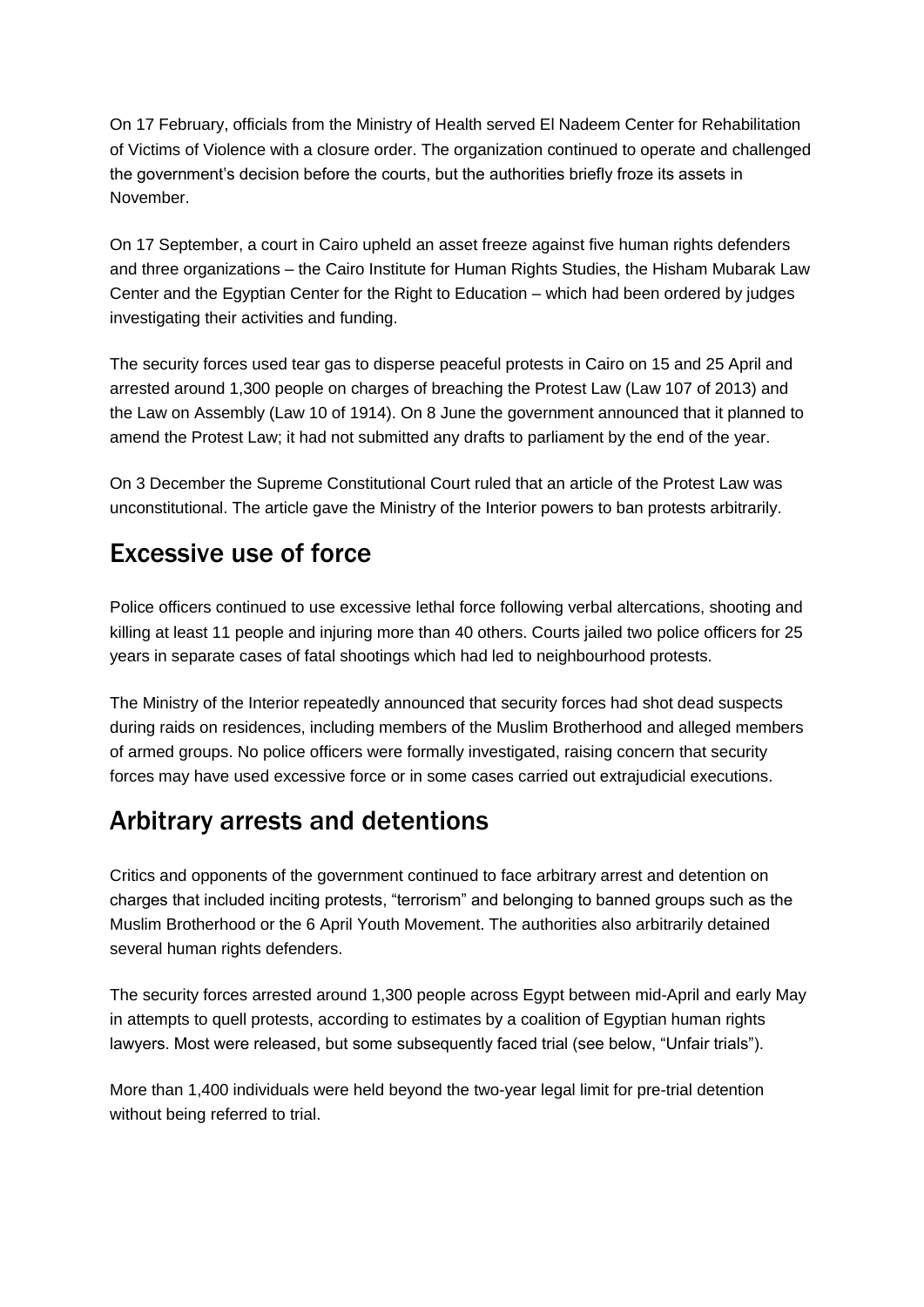On 17 February, officials from the Ministry of Health served El Nadeem Center for Rehabilitation of Victims of Violence with a closure order. The organization continued to operate and challenged the government's decision before the courts, but the authorities briefly froze its assets in November.

On 17 September, a court in Cairo upheld an asset freeze against five human rights defenders and three organizations – the Cairo Institute for Human Rights Studies, the Hisham Mubarak Law Center and the Egyptian Center for the Right to Education – which had been ordered by judges investigating their activities and funding.

The security forces used tear gas to disperse peaceful protests in Cairo on 15 and 25 April and arrested around 1,300 people on charges of breaching the Protest Law (Law 107 of 2013) and the Law on Assembly (Law 10 of 1914). On 8 June the government announced that it planned to amend the Protest Law; it had not submitted any drafts to parliament by the end of the year.

On 3 December the Supreme Constitutional Court ruled that an article of the Protest Law was unconstitutional. The article gave the Ministry of the Interior powers to ban protests arbitrarily.

#### Excessive use of force

Police officers continued to use excessive lethal force following verbal altercations, shooting and killing at least 11 people and injuring more than 40 others. Courts jailed two police officers for 25 years in separate cases of fatal shootings which had led to neighbourhood protests.

The Ministry of the Interior repeatedly announced that security forces had shot dead suspects during raids on residences, including members of the Muslim Brotherhood and alleged members of armed groups. No police officers were formally investigated, raising concern that security forces may have used excessive force or in some cases carried out extrajudicial executions.

#### Arbitrary arrests and detentions

Critics and opponents of the government continued to face arbitrary arrest and detention on charges that included inciting protests, "terrorism" and belonging to banned groups such as the Muslim Brotherhood or the 6 April Youth Movement. The authorities also arbitrarily detained several human rights defenders.

The security forces arrested around 1,300 people across Egypt between mid-April and early May in attempts to quell protests, according to estimates by a coalition of Egyptian human rights lawyers. Most were released, but some subsequently faced trial (see below, "Unfair trials").

More than 1,400 individuals were held beyond the two-year legal limit for pre-trial detention without being referred to trial.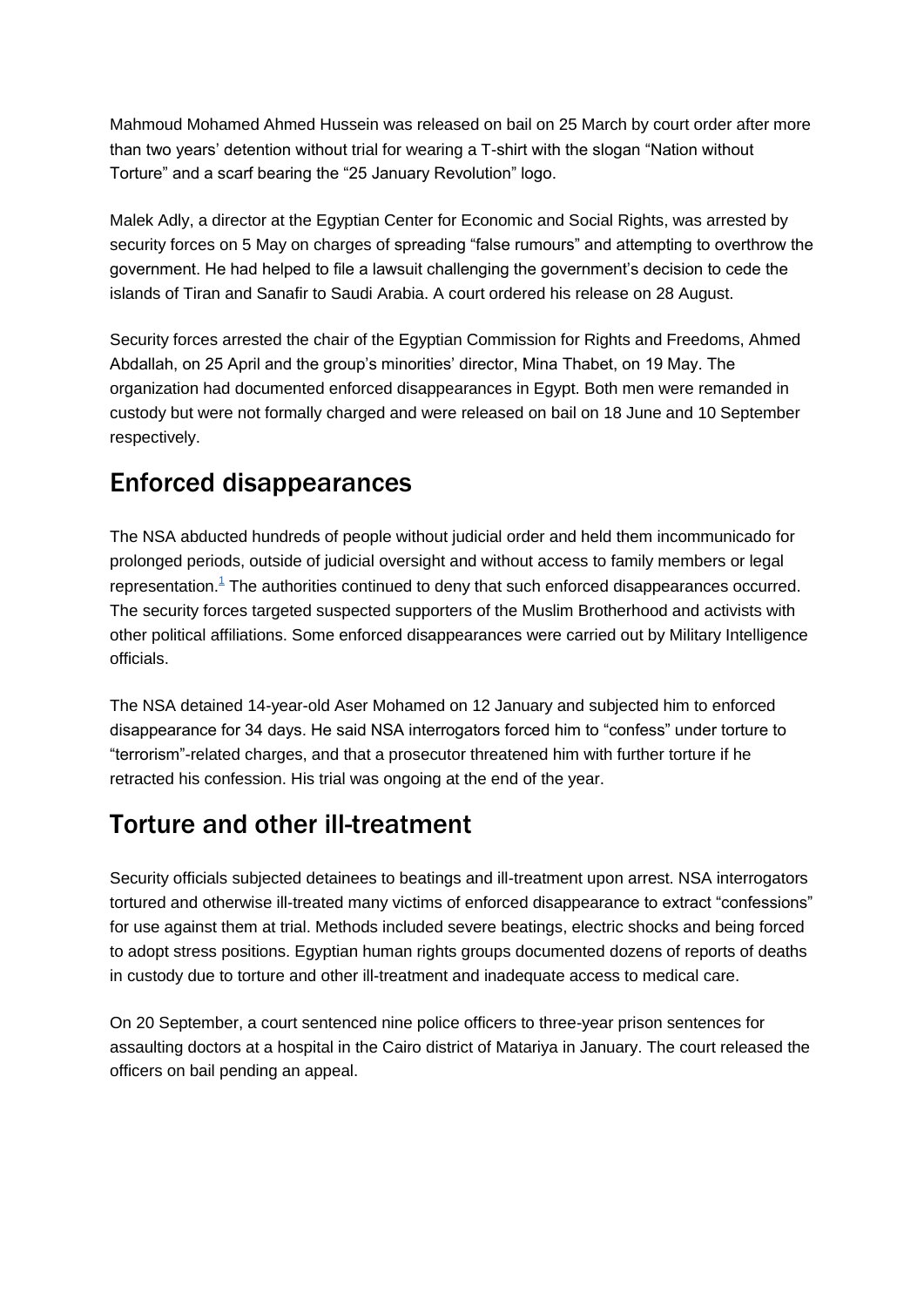Mahmoud Mohamed Ahmed Hussein was released on bail on 25 March by court order after more than two years' detention without trial for wearing a T-shirt with the slogan "Nation without Torture" and a scarf bearing the "25 January Revolution" logo.

Malek Adly, a director at the Egyptian Center for Economic and Social Rights, was arrested by security forces on 5 May on charges of spreading "false rumours" and attempting to overthrow the government. He had helped to file a lawsuit challenging the government's decision to cede the islands of Tiran and Sanafir to Saudi Arabia. A court ordered his release on 28 August.

Security forces arrested the chair of the Egyptian Commission for Rights and Freedoms, Ahmed Abdallah, on 25 April and the group's minorities' director, Mina Thabet, on 19 May. The organization had documented enforced disappearances in Egypt. Both men were remanded in custody but were not formally charged and were released on bail on 18 June and 10 September respectively.

# Enforced disappearances

The NSA abducted hundreds of people without judicial order and held them incommunicado for prolonged periods, outside of judicial oversight and without access to family members or legal representation. $1$  The authorities continued to deny that such enforced disappearances occurred. The security forces targeted suspected supporters of the Muslim Brotherhood and activists with other political affiliations. Some enforced disappearances were carried out by Military Intelligence officials.

The NSA detained 14-year-old Aser Mohamed on 12 January and subjected him to enforced disappearance for 34 days. He said NSA interrogators forced him to "confess" under torture to "terrorism"-related charges, and that a prosecutor threatened him with further torture if he retracted his confession. His trial was ongoing at the end of the year.

### Torture and other ill-treatment

Security officials subjected detainees to beatings and ill-treatment upon arrest. NSA interrogators tortured and otherwise ill-treated many victims of enforced disappearance to extract "confessions" for use against them at trial. Methods included severe beatings, electric shocks and being forced to adopt stress positions. Egyptian human rights groups documented dozens of reports of deaths in custody due to torture and other ill-treatment and inadequate access to medical care.

On 20 September, a court sentenced nine police officers to three-year prison sentences for assaulting doctors at a hospital in the Cairo district of Matariya in January. The court released the officers on bail pending an appeal.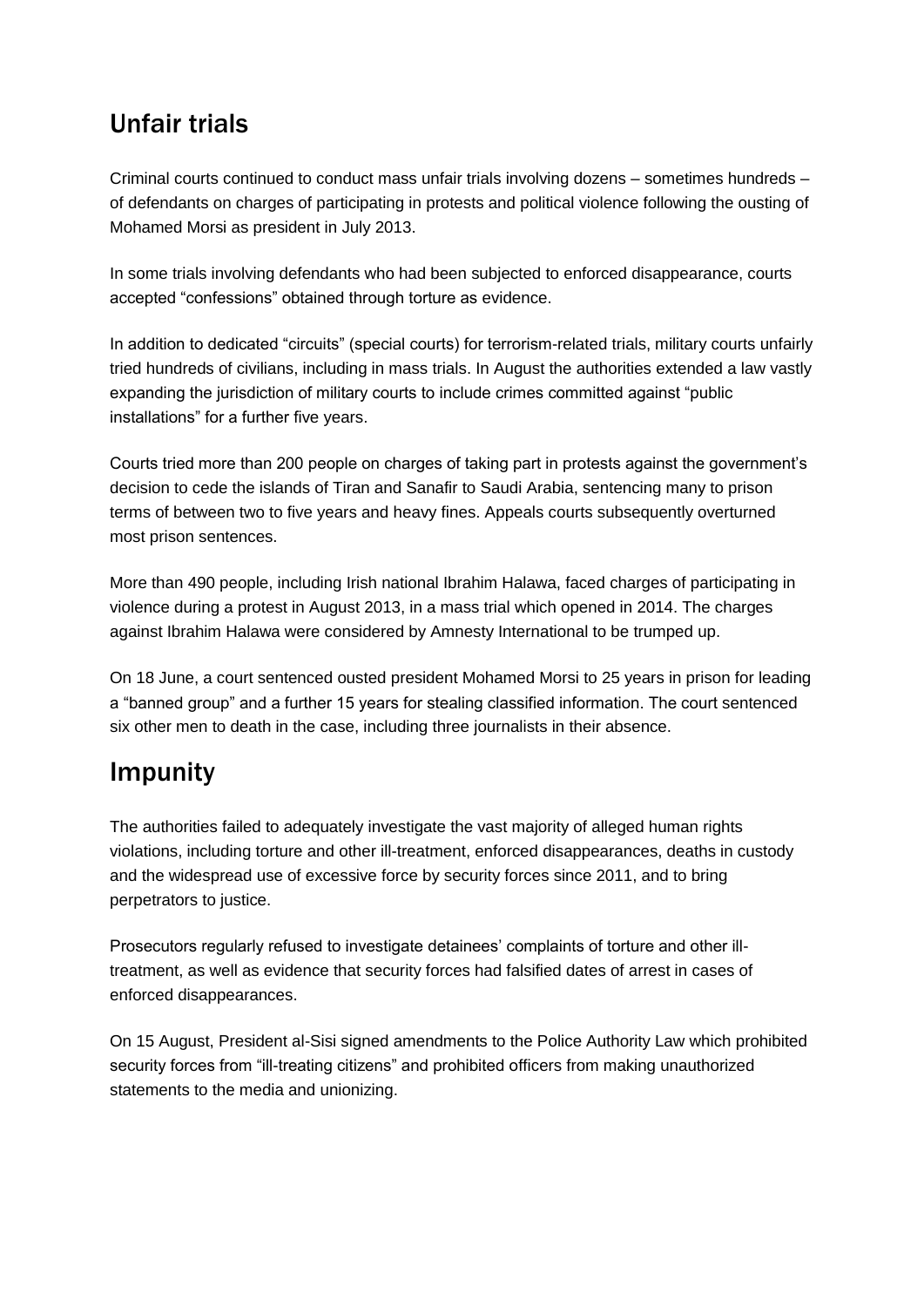### Unfair trials

Criminal courts continued to conduct mass unfair trials involving dozens – sometimes hundreds – of defendants on charges of participating in protests and political violence following the ousting of Mohamed Morsi as president in July 2013.

In some trials involving defendants who had been subjected to enforced disappearance, courts accepted "confessions" obtained through torture as evidence.

In addition to dedicated "circuits" (special courts) for terrorism-related trials, military courts unfairly tried hundreds of civilians, including in mass trials. In August the authorities extended a law vastly expanding the jurisdiction of military courts to include crimes committed against "public installations" for a further five years.

Courts tried more than 200 people on charges of taking part in protests against the government's decision to cede the islands of Tiran and Sanafir to Saudi Arabia, sentencing many to prison terms of between two to five years and heavy fines. Appeals courts subsequently overturned most prison sentences.

More than 490 people, including Irish national Ibrahim Halawa, faced charges of participating in violence during a protest in August 2013, in a mass trial which opened in 2014. The charges against Ibrahim Halawa were considered by Amnesty International to be trumped up.

On 18 June, a court sentenced ousted president Mohamed Morsi to 25 years in prison for leading a "banned group" and a further 15 years for stealing classified information. The court sentenced six other men to death in the case, including three journalists in their absence.

#### Impunity

The authorities failed to adequately investigate the vast majority of alleged human rights violations, including torture and other ill-treatment, enforced disappearances, deaths in custody and the widespread use of excessive force by security forces since 2011, and to bring perpetrators to justice.

Prosecutors regularly refused to investigate detainees' complaints of torture and other illtreatment, as well as evidence that security forces had falsified dates of arrest in cases of enforced disappearances.

On 15 August, President al-Sisi signed amendments to the Police Authority Law which prohibited security forces from "ill-treating citizens" and prohibited officers from making unauthorized statements to the media and unionizing.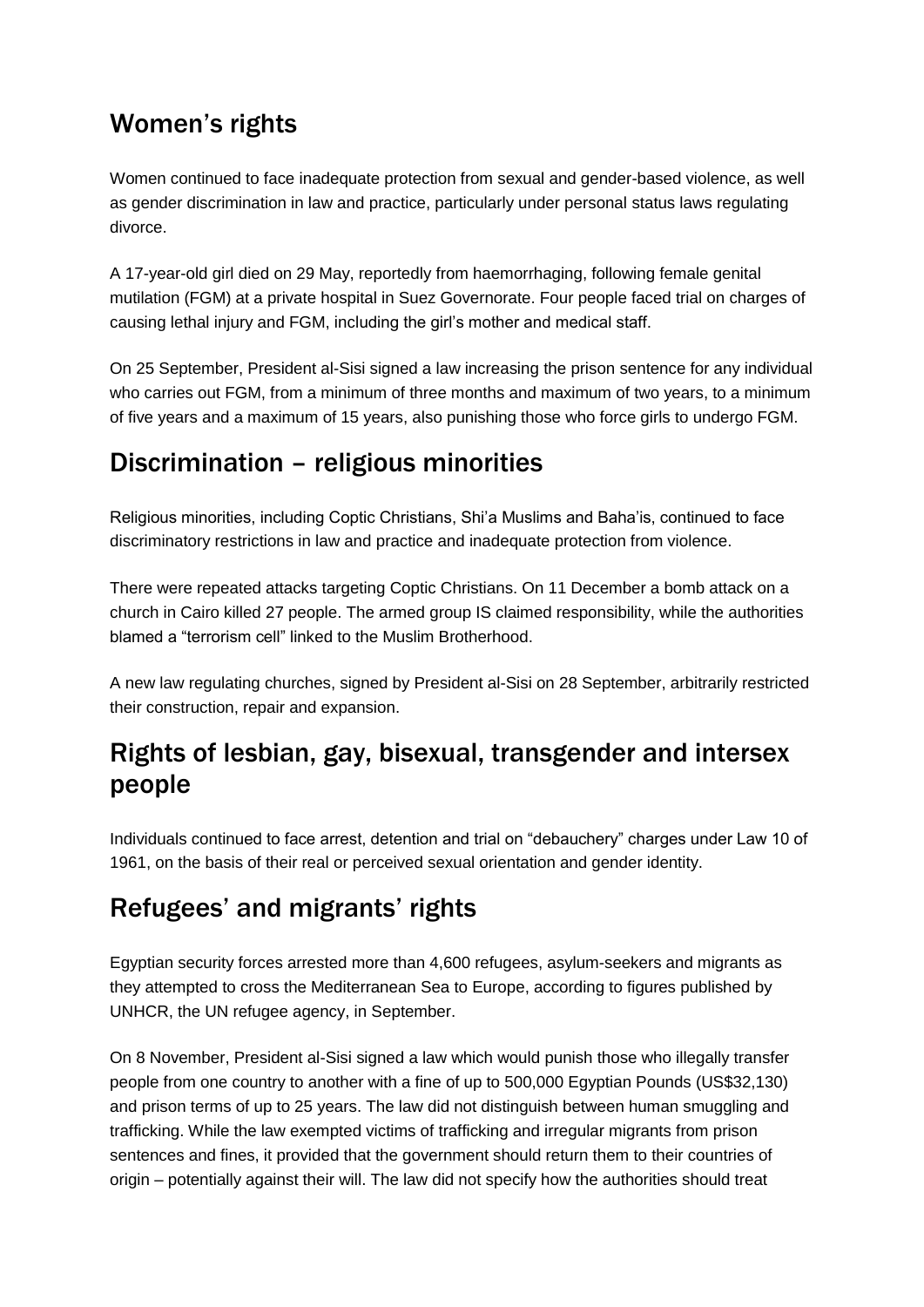# Women's rights

Women continued to face inadequate protection from sexual and gender-based violence, as well as gender discrimination in law and practice, particularly under personal status laws regulating divorce.

A 17-year-old girl died on 29 May, reportedly from haemorrhaging, following female genital mutilation (FGM) at a private hospital in Suez Governorate. Four people faced trial on charges of causing lethal injury and FGM, including the girl's mother and medical staff.

On 25 September, President al-Sisi signed a law increasing the prison sentence for any individual who carries out FGM, from a minimum of three months and maximum of two years, to a minimum of five years and a maximum of 15 years, also punishing those who force girls to undergo FGM.

### Discrimination – religious minorities

Religious minorities, including Coptic Christians, Shi'a Muslims and Baha'is, continued to face discriminatory restrictions in law and practice and inadequate protection from violence.

There were repeated attacks targeting Coptic Christians. On 11 December a bomb attack on a church in Cairo killed 27 people. The armed group IS claimed responsibility, while the authorities blamed a "terrorism cell" linked to the Muslim Brotherhood.

A new law regulating churches, signed by President al-Sisi on 28 September, arbitrarily restricted their construction, repair and expansion.

# Rights of lesbian, gay, bisexual, transgender and intersex people

Individuals continued to face arrest, detention and trial on "debauchery" charges under Law 10 of 1961, on the basis of their real or perceived sexual orientation and gender identity.

# Refugees' and migrants' rights

Egyptian security forces arrested more than 4,600 refugees, asylum-seekers and migrants as they attempted to cross the Mediterranean Sea to Europe, according to figures published by UNHCR, the UN refugee agency, in September.

On 8 November, President al-Sisi signed a law which would punish those who illegally transfer people from one country to another with a fine of up to 500,000 Egyptian Pounds (US\$32,130) and prison terms of up to 25 years. The law did not distinguish between human smuggling and trafficking. While the law exempted victims of trafficking and irregular migrants from prison sentences and fines, it provided that the government should return them to their countries of origin – potentially against their will. The law did not specify how the authorities should treat